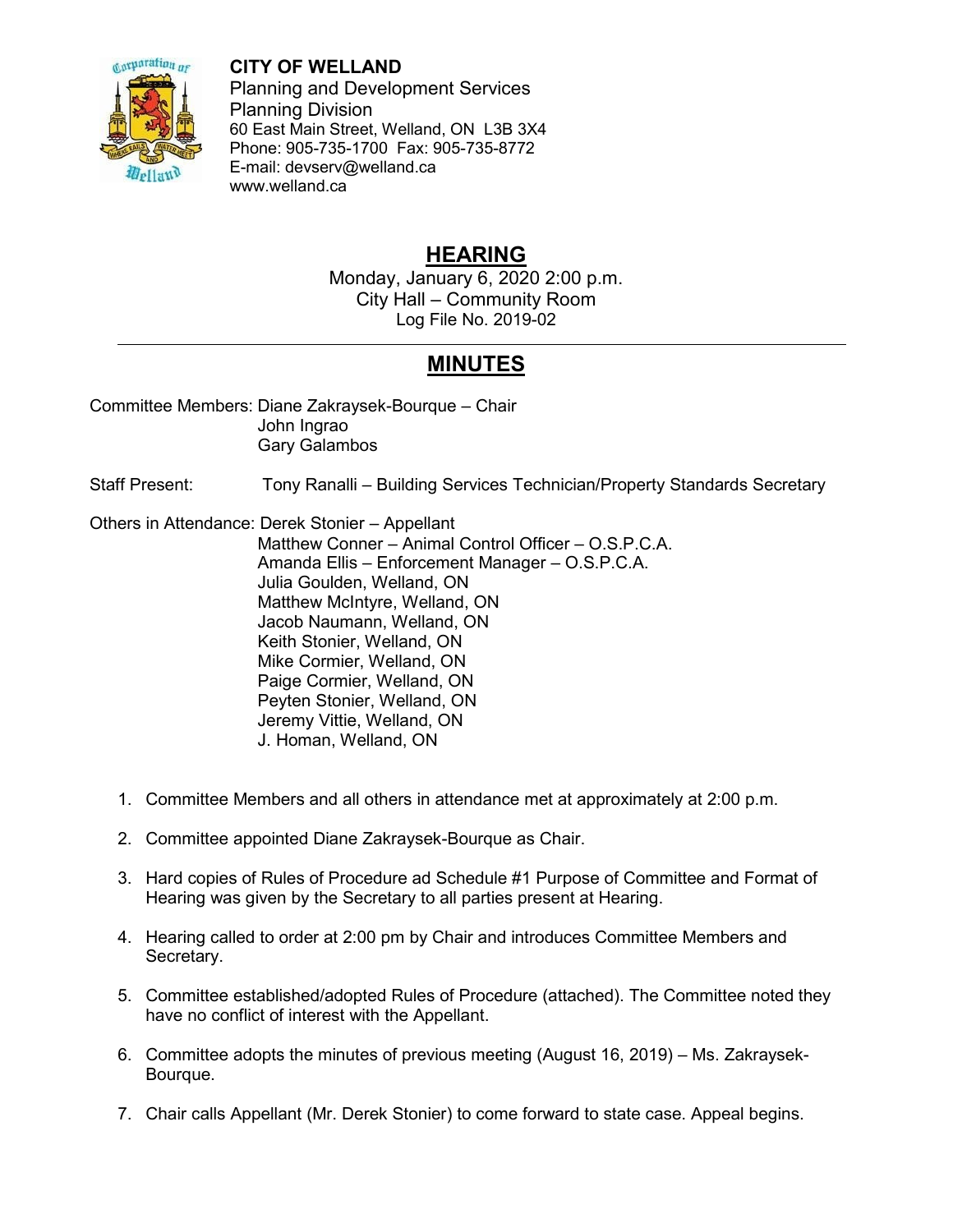

## **CITY OF WELLAND**

Planning and Development Services Planning Division 60 East Main Street, Welland, ON L3B 3X4 Phone: 905-735-1700 Fax: 905-735-8772 E-mail: devserv@welland.ca www.welland.ca

## **HEARING**

Monday, January 6, 2020 2:00 p.m. City Hall – Community Room Log File No. 2019-02

## **MINUTES**

Committee Members: Diane Zakraysek-Bourque – Chair John Ingrao Gary Galambos

Staff Present: Tony Ranalli – Building Services Technician/Property Standards Secretary

Others in Attendance: Derek Stonier – Appellant

 Matthew Conner – Animal Control Officer – O.S.P.C.A. Amanda Ellis – Enforcement Manager – O.S.P.C.A. Julia Goulden, Welland, ON Matthew McIntyre, Welland, ON Jacob Naumann, Welland, ON Keith Stonier, Welland, ON Mike Cormier, Welland, ON Paige Cormier, Welland, ON Peyten Stonier, Welland, ON Jeremy Vittie, Welland, ON J. Homan, Welland, ON

- 1. Committee Members and all others in attendance met at approximately at 2:00 p.m.
- 2. Committee appointed Diane Zakraysek-Bourque as Chair.
- 3. Hard copies of Rules of Procedure ad Schedule #1 Purpose of Committee and Format of Hearing was given by the Secretary to all parties present at Hearing.
- 4. Hearing called to order at 2:00 pm by Chair and introduces Committee Members and Secretary.
- 5. Committee established/adopted Rules of Procedure (attached). The Committee noted they have no conflict of interest with the Appellant.
- 6. Committee adopts the minutes of previous meeting (August 16, 2019) Ms. Zakraysek-Bourque.
- 7. Chair calls Appellant (Mr. Derek Stonier) to come forward to state case. Appeal begins.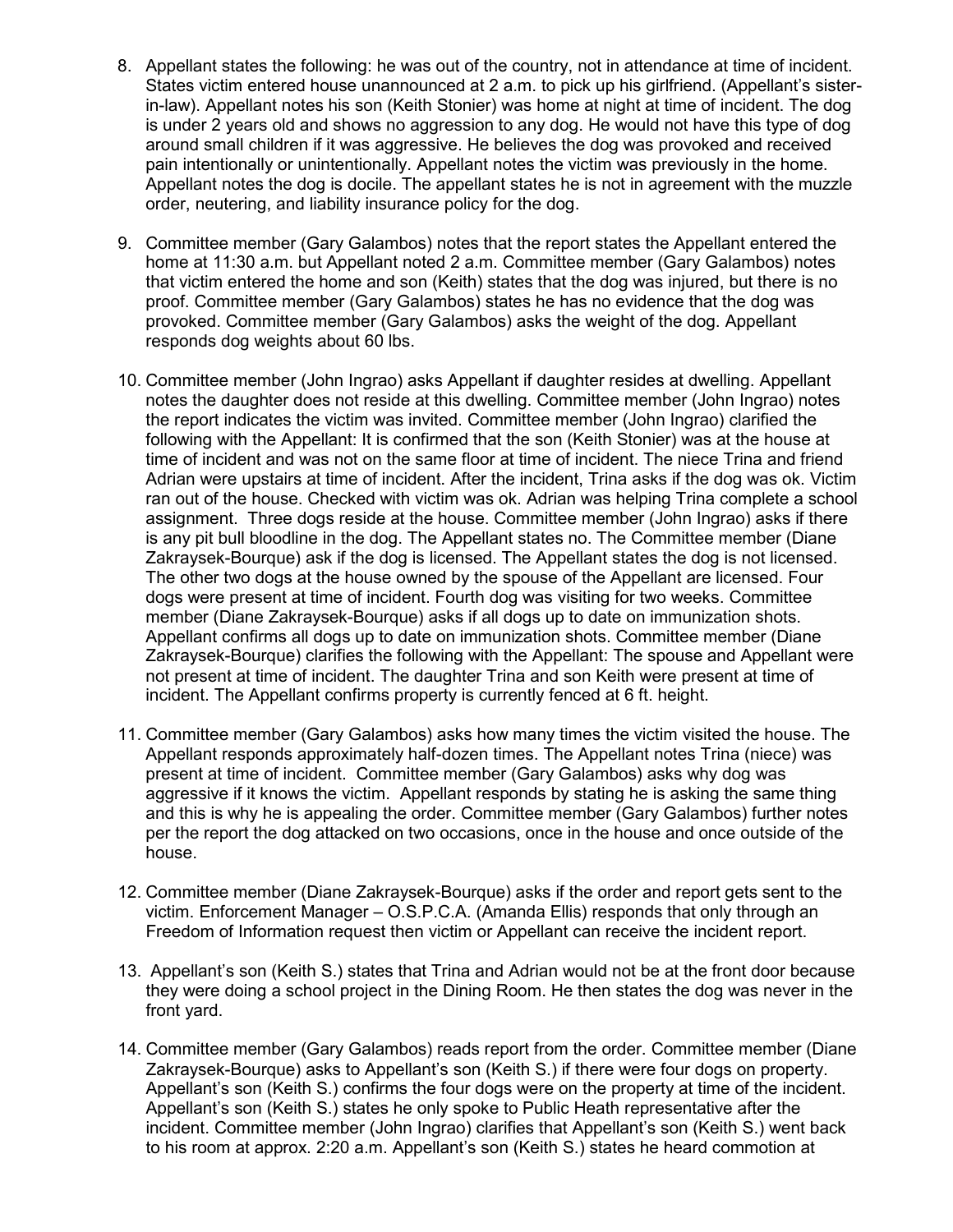- 8. Appellant states the following: he was out of the country, not in attendance at time of incident. States victim entered house unannounced at 2 a.m. to pick up his girlfriend. (Appellant's sisterin-law). Appellant notes his son (Keith Stonier) was home at night at time of incident. The dog is under 2 years old and shows no aggression to any dog. He would not have this type of dog around small children if it was aggressive. He believes the dog was provoked and received pain intentionally or unintentionally. Appellant notes the victim was previously in the home. Appellant notes the dog is docile. The appellant states he is not in agreement with the muzzle order, neutering, and liability insurance policy for the dog.
- 9. Committee member (Gary Galambos) notes that the report states the Appellant entered the home at 11:30 a.m. but Appellant noted 2 a.m. Committee member (Gary Galambos) notes that victim entered the home and son (Keith) states that the dog was injured, but there is no proof. Committee member (Gary Galambos) states he has no evidence that the dog was provoked. Committee member (Gary Galambos) asks the weight of the dog. Appellant responds dog weights about 60 lbs.
- 10. Committee member (John Ingrao) asks Appellant if daughter resides at dwelling. Appellant notes the daughter does not reside at this dwelling. Committee member (John Ingrao) notes the report indicates the victim was invited. Committee member (John Ingrao) clarified the following with the Appellant: It is confirmed that the son (Keith Stonier) was at the house at time of incident and was not on the same floor at time of incident. The niece Trina and friend Adrian were upstairs at time of incident. After the incident, Trina asks if the dog was ok. Victim ran out of the house. Checked with victim was ok. Adrian was helping Trina complete a school assignment. Three dogs reside at the house. Committee member (John Ingrao) asks if there is any pit bull bloodline in the dog. The Appellant states no. The Committee member (Diane Zakraysek-Bourque) ask if the dog is licensed. The Appellant states the dog is not licensed. The other two dogs at the house owned by the spouse of the Appellant are licensed. Four dogs were present at time of incident. Fourth dog was visiting for two weeks. Committee member (Diane Zakraysek-Bourque) asks if all dogs up to date on immunization shots. Appellant confirms all dogs up to date on immunization shots. Committee member (Diane Zakraysek-Bourque) clarifies the following with the Appellant: The spouse and Appellant were not present at time of incident. The daughter Trina and son Keith were present at time of incident. The Appellant confirms property is currently fenced at 6 ft. height.
- 11. Committee member (Gary Galambos) asks how many times the victim visited the house. The Appellant responds approximately half-dozen times. The Appellant notes Trina (niece) was present at time of incident. Committee member (Gary Galambos) asks why dog was aggressive if it knows the victim. Appellant responds by stating he is asking the same thing and this is why he is appealing the order. Committee member (Gary Galambos) further notes per the report the dog attacked on two occasions, once in the house and once outside of the house.
- 12. Committee member (Diane Zakraysek-Bourque) asks if the order and report gets sent to the victim. Enforcement Manager – O.S.P.C.A. (Amanda Ellis) responds that only through an Freedom of Information request then victim or Appellant can receive the incident report.
- 13. Appellant's son (Keith S.) states that Trina and Adrian would not be at the front door because they were doing a school project in the Dining Room. He then states the dog was never in the front yard.
- 14. Committee member (Gary Galambos) reads report from the order. Committee member (Diane Zakraysek-Bourque) asks to Appellant's son (Keith S.) if there were four dogs on property. Appellant's son (Keith S.) confirms the four dogs were on the property at time of the incident. Appellant's son (Keith S.) states he only spoke to Public Heath representative after the incident. Committee member (John Ingrao) clarifies that Appellant's son (Keith S.) went back to his room at approx. 2:20 a.m. Appellant's son (Keith S.) states he heard commotion at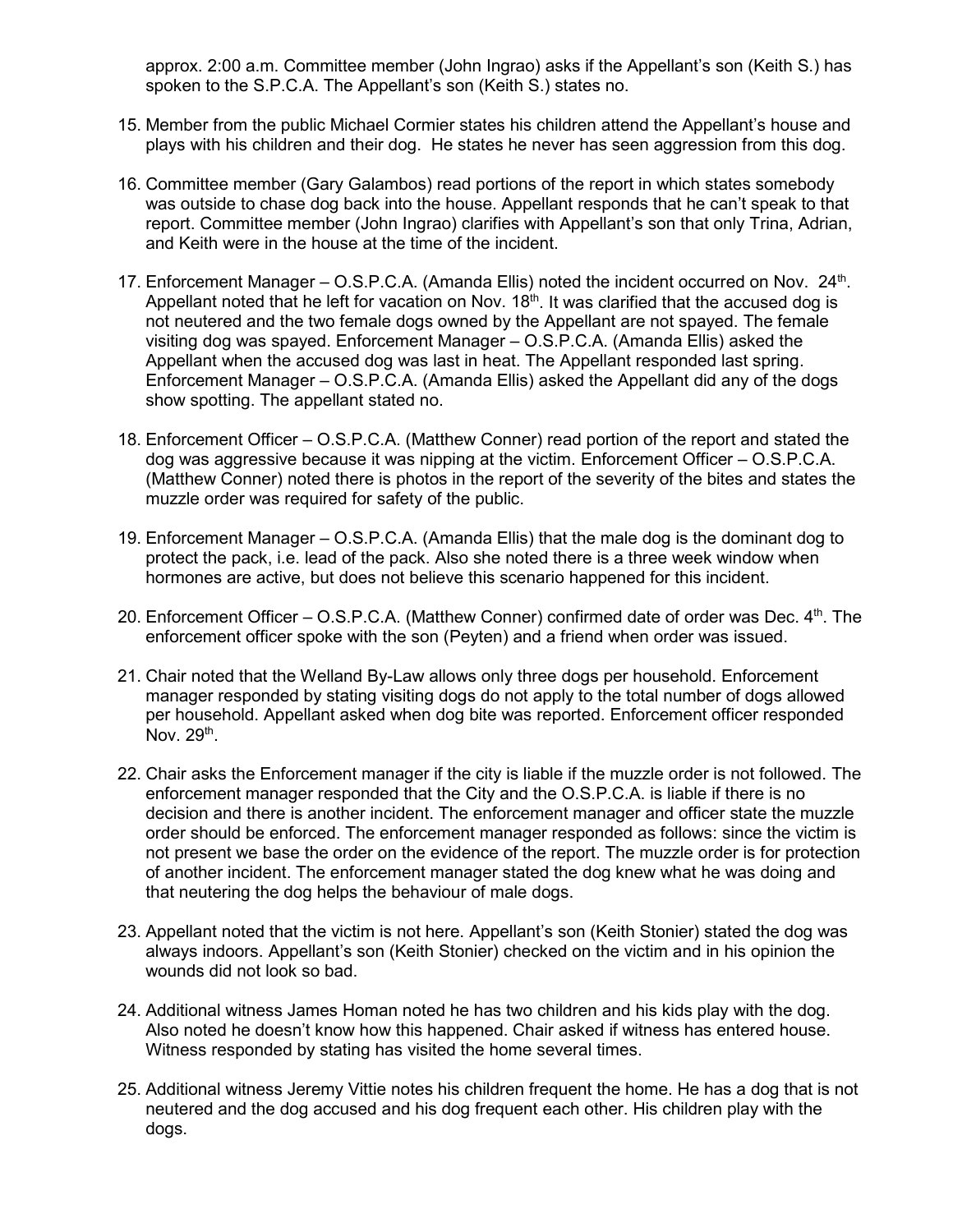approx. 2:00 a.m. Committee member (John Ingrao) asks if the Appellant's son (Keith S.) has spoken to the S.P.C.A. The Appellant's son (Keith S.) states no.

- 15. Member from the public Michael Cormier states his children attend the Appellant's house and plays with his children and their dog. He states he never has seen aggression from this dog.
- 16. Committee member (Gary Galambos) read portions of the report in which states somebody was outside to chase dog back into the house. Appellant responds that he can't speak to that report. Committee member (John Ingrao) clarifies with Appellant's son that only Trina, Adrian, and Keith were in the house at the time of the incident.
- 17. Enforcement Manager O.S.P.C.A. (Amanda Ellis) noted the incident occurred on Nov. 24<sup>th</sup>. Appellant noted that he left for vacation on Nov.  $18<sup>th</sup>$ . It was clarified that the accused dog is not neutered and the two female dogs owned by the Appellant are not spayed. The female visiting dog was spayed. Enforcement Manager – O.S.P.C.A. (Amanda Ellis) asked the Appellant when the accused dog was last in heat. The Appellant responded last spring. Enforcement Manager – O.S.P.C.A. (Amanda Ellis) asked the Appellant did any of the dogs show spotting. The appellant stated no.
- 18. Enforcement Officer O.S.P.C.A. (Matthew Conner) read portion of the report and stated the dog was aggressive because it was nipping at the victim. Enforcement Officer – O.S.P.C.A. (Matthew Conner) noted there is photos in the report of the severity of the bites and states the muzzle order was required for safety of the public.
- 19. Enforcement Manager O.S.P.C.A. (Amanda Ellis) that the male dog is the dominant dog to protect the pack, i.e. lead of the pack. Also she noted there is a three week window when hormones are active, but does not believe this scenario happened for this incident.
- 20. Enforcement Officer  $-$  O.S.P.C.A. (Matthew Conner) confirmed date of order was Dec.  $4<sup>th</sup>$ . The enforcement officer spoke with the son (Peyten) and a friend when order was issued.
- 21. Chair noted that the Welland By-Law allows only three dogs per household. Enforcement manager responded by stating visiting dogs do not apply to the total number of dogs allowed per household. Appellant asked when dog bite was reported. Enforcement officer responded Nov. 29<sup>th</sup>.
- 22. Chair asks the Enforcement manager if the city is liable if the muzzle order is not followed. The enforcement manager responded that the City and the O.S.P.C.A. is liable if there is no decision and there is another incident. The enforcement manager and officer state the muzzle order should be enforced. The enforcement manager responded as follows: since the victim is not present we base the order on the evidence of the report. The muzzle order is for protection of another incident. The enforcement manager stated the dog knew what he was doing and that neutering the dog helps the behaviour of male dogs.
- 23. Appellant noted that the victim is not here. Appellant's son (Keith Stonier) stated the dog was always indoors. Appellant's son (Keith Stonier) checked on the victim and in his opinion the wounds did not look so bad.
- 24. Additional witness James Homan noted he has two children and his kids play with the dog. Also noted he doesn't know how this happened. Chair asked if witness has entered house. Witness responded by stating has visited the home several times.
- 25. Additional witness Jeremy Vittie notes his children frequent the home. He has a dog that is not neutered and the dog accused and his dog frequent each other. His children play with the dogs.